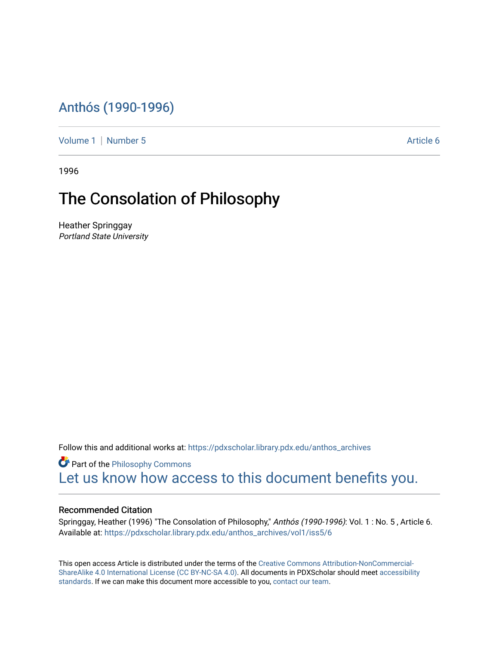## [Anthós \(1990-1996\)](https://pdxscholar.library.pdx.edu/anthos_archives)

[Volume 1](https://pdxscholar.library.pdx.edu/anthos_archives/vol1) | [Number 5](https://pdxscholar.library.pdx.edu/anthos_archives/vol1/iss5) Article 6

1996

## The Consolation of Philosophy

Heather Springgay Portland State University

Follow this and additional works at: [https://pdxscholar.library.pdx.edu/anthos\\_archives](https://pdxscholar.library.pdx.edu/anthos_archives?utm_source=pdxscholar.library.pdx.edu%2Fanthos_archives%2Fvol1%2Fiss5%2F6&utm_medium=PDF&utm_campaign=PDFCoverPages)

**P** Part of the Philosophy Commons [Let us know how access to this document benefits you.](http://library.pdx.edu/services/pdxscholar-services/pdxscholar-feedback/) 

## Recommended Citation

Springgay, Heather (1996) "The Consolation of Philosophy," Anthós (1990-1996): Vol. 1 : No. 5 , Article 6. Available at: [https://pdxscholar.library.pdx.edu/anthos\\_archives/vol1/iss5/6](https://pdxscholar.library.pdx.edu/anthos_archives/vol1/iss5/6?utm_source=pdxscholar.library.pdx.edu%2Fanthos_archives%2Fvol1%2Fiss5%2F6&utm_medium=PDF&utm_campaign=PDFCoverPages) 

This open access Article is distributed under the terms of the [Creative Commons Attribution-NonCommercial-](https://creativecommons.org/licenses/by-nc-sa/4.0/)[ShareAlike 4.0 International License \(CC BY-NC-SA 4.0\).](https://creativecommons.org/licenses/by-nc-sa/4.0/) All documents in PDXScholar should meet [accessibility](https://pdxscholar.library.pdx.edu/accessibility.html) [standards](https://pdxscholar.library.pdx.edu/accessibility.html). If we can make this document more accessible to you, [contact our team.](mailto:pdxscholar@pdx.edu)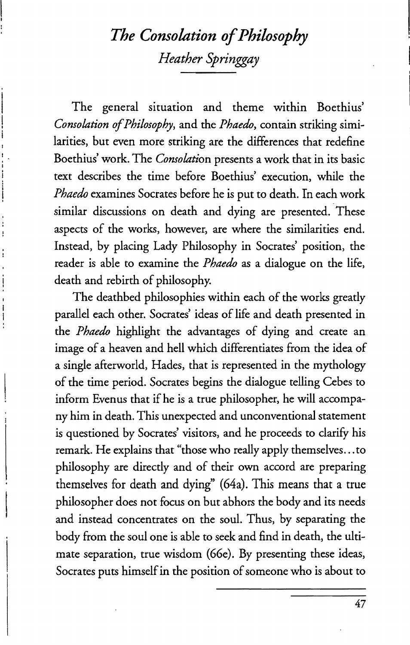## *The Consolation of Philosophy Heather Springgay*

The general situation and theme within Boethius' *Consolation of Philosophy,* and the *Phaedo,* contain striking similarities, but even more striking are the differences that redefine Boethius' work. The *Consolation* presents a work that in its basic text describes the time before Boethius' execution, while the *Phaedo* examines Socrates before he is put to death. In each work similar discussions on death and dying are presented. These aspects of the works, however, are where the similarities end. Instead, by placing Lady Philosophy in Socrates' position, the reader is able to examine the *Phaedo* as a dialogue on the life, death and rebirth of philosophy.

The deathbed philosophies within each of the works greatly parallel each other. Socrates' ideas of life and death presented in the *Phaedo* highlight the advantages of dying and create an image of a heaven and hell which differentiates from the idea of a single afterworld, Hades, that is represented in the mythology of the time period. Socrates begins the dialogue telling Cebes to inform Evenus that if he is a true philosopher, he will accompany him in death. This unexpected and unconventional statement is questioned by Socrates' visitors, and he proceeds to clarify his remark. He explains that "those who really apply themselves ... to philosophy are directly and of their own accord are preparing themselves for death and dying" (64a). This means that a true philosopher does not focus on but abhors the body and its needs and instead concentrates on the soul. Thus, by separating the body from the soul one is able to seek and find in death, the ultimate separation, true wisdom (66e). By presenting these ideas, Socrates puts himself in the position of someone who is about to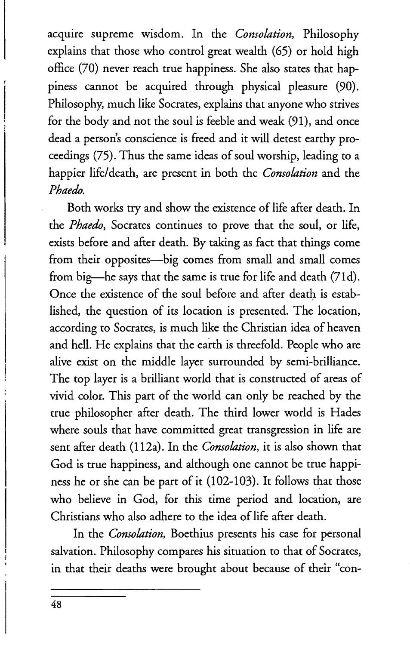acquire supreme wisdom. In the *Consolation,* Philosophy explains that those who control great wealth (65) or hold high office (70) never reach true happiness. She also states that happiness cannot be acquired through physical pleasure (90). Philosophy, much like Socrates, explains that anyone who strives for the body and not the soul is feeble and weak (91), and once dead a person's conscience is freed and it will detest earthy proceedings (75). Thus the same ideas of soul worship, leading to a happier life/death, are present in both the *Consolation* and the *Phaedo.* 

Both works try and show the existence of life after death. In the *Phaedo,* Socrates continues to prove that the soul, or life, exists before and after death. By taking as fact that things come from their opposites-big comes from small and small comes from big-he says that the same is true for life and death (71d). Once the existence of the soul before and after death is established, the question of its location is presented. The location, according to Socrates, is much like the Christian idea of heaven and hell. He explains that the earth is threefold. People who are alive exist on the middle layer surrounded by semi-brilliance. The top layer is a brilliant world that is constructed of areas of vivid color. This part of the world can only be reached by the true philosopher after death. The third lower world is Hades where souls that have committed great transgression in life are sent after death (112a). In the *Consolation,* it is also shown that God is true happiness, and although one cannot be true happiness he or she can be part of it (102-103). It follows that those who believe in God, for this time period and location, are Christians who also adhere to the idea of life after death.

In the *Consolation,* Boethius presents his case for personal salvation. Philosophy compares his situation to that of Socrates, in that their deaths were brought about because of their "con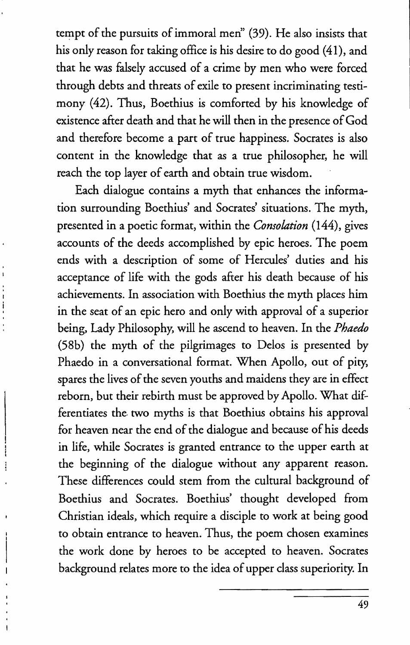tempt of the pursuits of immoral men" (39). He also insists that his only reason for taking office is his desire to do good (41), and that he was falsely accused of a crime by men who were forced through debts and threats of exile to present incriminating testimony (42). Thus, Boethius is comforted by his knowledge of existence after death and that he will then in the presence of God and therefore become a part of true happiness. Socrates is also content in the knowledge that as a true philosopher, he will reach the top layer of earth and obtain true wisdom.

Each dialogue contains a myth that enhances the information surrounding Boethius' and Socrates' situations. The myth, presented in a poetic format, within the *Consolation* (144), gives accounts of the deeds accomplished by epic heroes. The poem ends with a description of some of Hercules' duties and his acceptance of life with the gods after his death because of his achievements. In association with Boethius the myth places him in the seat of an epic hero and only with approval of a superior being, Lady Philosophy, will he ascend to heaven. In the *Phaedo*  (58b) the myth of the pilgrimages to Delos is presented by Phaedo in a conversational format. When Apollo, out of pity, spares the lives of the seven youths and maidens they are in effect reborn, but their rebirth must be approved by Apollo. What differentiates the two myths is that Boethius obtains his approval for heaven near the end of the dialogue and because of his deeds in life, while Socrates is granted entrance to the upper earth at the beginning of the dialogue without any apparent reason. These differences could stem from the cultural background of Boethius and Socrates. Boethius' thought developed from Christian ideals, which require a disciple to work at being good to obtain entrance to heaven. Thus, the poem chosen examines the work done by heroes to be accepted to heaven. Socrates background relates more to the idea of upper class superiority. In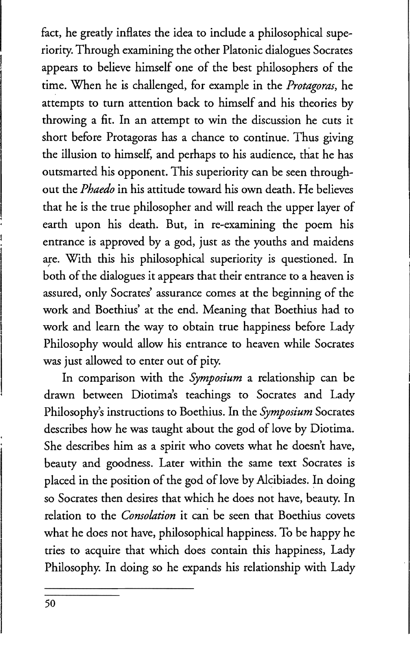fact, he greatly inflates the idea to include a philosophical superiority. Through examining the other Platonic dialogues Socrates appears to believe himself one of the best philosophers of the time. When he is challenged, for example in the *Protagoras,* he attempts to turn attention back to himself and his theories by throwing a fit. In an attempt to win the discussion he cuts it short before Protagoras has a chance to continue. Thus giving the illusion to himself, and perhaps to his audience, that he has outsmarted his opponent. This superiority can be seen throughout the *Phaedo* in his attitude toward his own death. He believes that he is the true philosopher and will reach the upper layer of earth upon his death. But, in re-examining the poem his entrance is approved by a god, just as the youths and maidens are. With this his philosophical superiority is questioned. In both of the dialogues it appears that their entrance to a heaven is assured, only Socrates' assurance comes at the beginning of the work and Boethius' at the end. Meaning that Boethius had to work and learn the way to obtain true happiness before Lady Philosophy would allow his entrance to heaven while Socrates was just allowed to enter out of pity.

In comparison with the *Symposium* a relationship can be drawn between Diotima's teachings to Socrates and Lady Philosophy's instructions to Boethius. In the *Symposium* Socrates describes how he was taught about the god of love by Diotima. She describes him as a spirit who covets what he doesn't have, beauty and goodness. Later within the same text Socrates is placed in the position of the god of love by Alcibiades. In doing so Socrates then desires that which he does not have, beauty. In relation to the *Consolation* it can be seen that Boethius covets what he does not have, philosophical happiness. To be happy he tries to acquire that which does contain this happiness, Lady Philosophy. In doing so he expands his relationship with Lady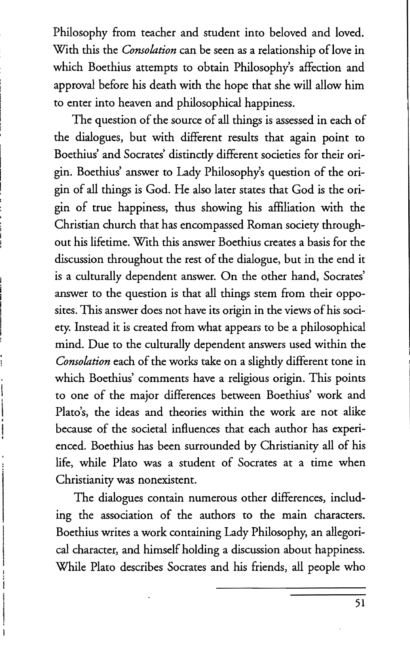Philosophy from teacher and student into beloved and loved. With this the *Consolation* can be seen as a relationship of love in which Boethius attempts to obtain Philosophy's affection and approval before his death with the hope that she will allow him to enter into heaven and philosophical happiness.

The question of the source of all things is assessed in each of the dialogues, but with different results that again point to Boethius' and Socrates' distinctly different societies for their origin. Boethius' answer to Lady Philosophy's question of the origin of all things is God. He also later states that God is the origin of true happiness, thus showing his affiliation with the Christian church that has encompassed Roman society throughout his lifetime. With this answer Boethius creates a basis for the discussion throughout the rest of the dialogue, but in the end it is a culturally dependent answer. On the other hand, Socrates' answer to the question is that all things stem from their opposites. This answer does not have its origin in the views of his society. Instead it is created from what appears to be a philosophical mind. Due to the culturally dependent answers used within the *Consolation* each of the works take on a slightly different tone in which Boethius' comments have a religious origin. This points to one of the major differences between Boethius' work and Plato's, the ideas and theories within the work are not alike because of the societal influences that each author has experienced. Boethius has been surrounded by Christianity all of his life, while Plato was a student of Socrates at a time when Christianity was nonexistent.

The dialogues contain numerous other differences, including the association of the authors to the main characters. Boethius writes a work containing Lady Philosophy, an allegorical character, and himself holding a discussion about happiness. While Plato describes Socrates and his friends, all people who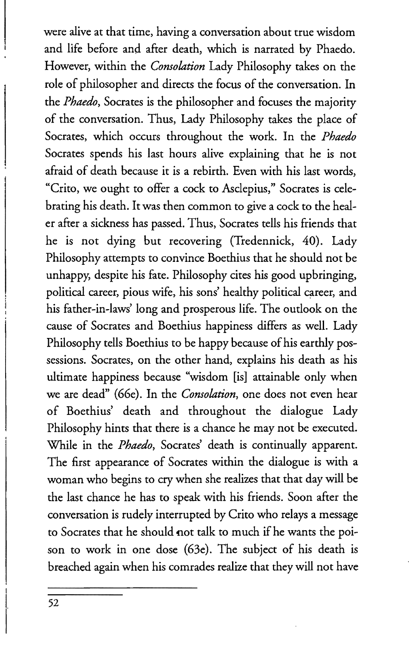were alive at that time, having a conversation about true wisdom and life before and after death, which is narrated by Phaedo. However, within the *Consolation* Lady Philosophy takes on the role of philosopher and directs the focus of the conversation. In the *Phaedo,* Socrates is the philosopher and focuses the majority of the conversation. Thus, Lady Philosophy takes the place of Socrates, which occurs throughout the work. In the *Phaedo*  Socrates spends his last hours alive explaining that he is not afraid of death because it is a rebirth. Even with his last words, "Crito, we ought to offer a cock to Asdepius," Socrates is celebrating his death. It was then common to give a cock to the healer after a sickness has passed. Thus, Socrates tells his friends that he is not dying but recovering (Tredennick, 40). Lady Philosophy attempts to convince Boethius that he should not be unhappy, despite his fate. Philosophy cites his good upbringing, political career, pious wife, his sons' healthy political career, and his father-in-laws' long and prosperous life. The outlook on the cause of Socrates and Boethius happiness differs as well. Lady Philosophy tells Boethius to be happy because of his earthly possessions. Socrates, on the other hand, explains his death as his ultimate happiness because "wisdom [is] attainable only when we are dead" (66e). In the *Consolation,* one does not even hear of Boethius' death and throughout the dialogue Lady Philosophy hints that there is a chance he may not be executed. While in the *Phaedo,* Socrates' death is continually apparent. The first appearance of Socrates within the dialogue is with a woman who begins to cry when she realizes that that day will be the last chance he has to speak with his friends. Soon after the conversation is rudely interrupted by Crito who relays a message to Socrates that he should not talk to much if he wants the poison to work in one dose (63e). The subject of his death is breached again when his comrades realize that they will not have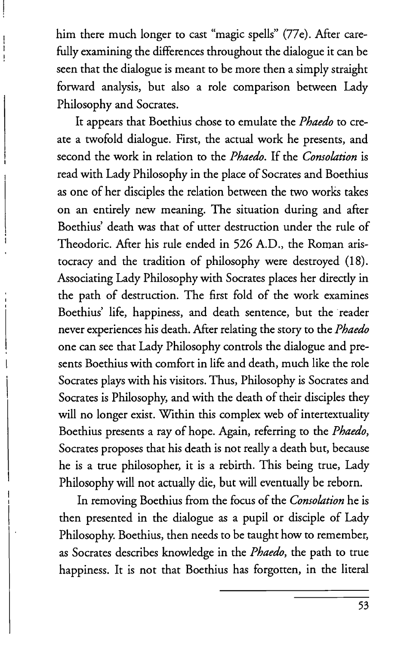him there much longer to cast "magic spells" (77e). After carefully examining the differences throughout the dialogue it can be seen that the dialogue is meant to be more then a simply straight forward analysis, but also a role comparison between Lady Philosophy and Socrates.

It appears that Boethius chose to emulate the *Phaedo* to create a twofold dialogue. First, the actual work he presents, and second the work in relation to the *Phaedo.* If the *Consolation* is read with Lady Philosophy in the place of Socrates and Boethius as one of her disciples the relation between the two works takes on an entirely new meaning. The situation during and after Boethius' death was that of utter destruction under the rule of Theodoric. After his rule ended in 526 A.D., the Roman aristocracy and the tradition of philosophy were destroyed (18). Associating Lady Philosophy with Socrates places her directly in the path of destruction. The first fold of the work examines Boethius' life, happiness, and death sentence, but the "reader never experiences his death. After relating the story to the *Phaedo*  one can see that Lady Philosophy controls the dialogue and presents Boethius with comfort in life and death, much like the role Socrates plays with his visitors. Thus, Philosophy is Socrates and Socrates is Philosophy, and with the death of their disciples they will no longer exist. Within this complex web of intertextuality Boethius presents a ray of hope. Again, referring to the *Phaedo,*  Socrates proposes that his death is not really a death but, because he is a true philosopher, it is a rebirth. This being true, Lady Philosophy will not actually die, but will eventually be reborn.

In removing Boethius from the focus of the *Consolation* he is then presented in the dialogue as a pupil or disciple of Lady Philosophy. Boethius, then needs to be taught how to remember, as Socrates describes knowledge in the *Phaedo,* the path to true happiness. It is not that Boethius has forgotten, in the literal